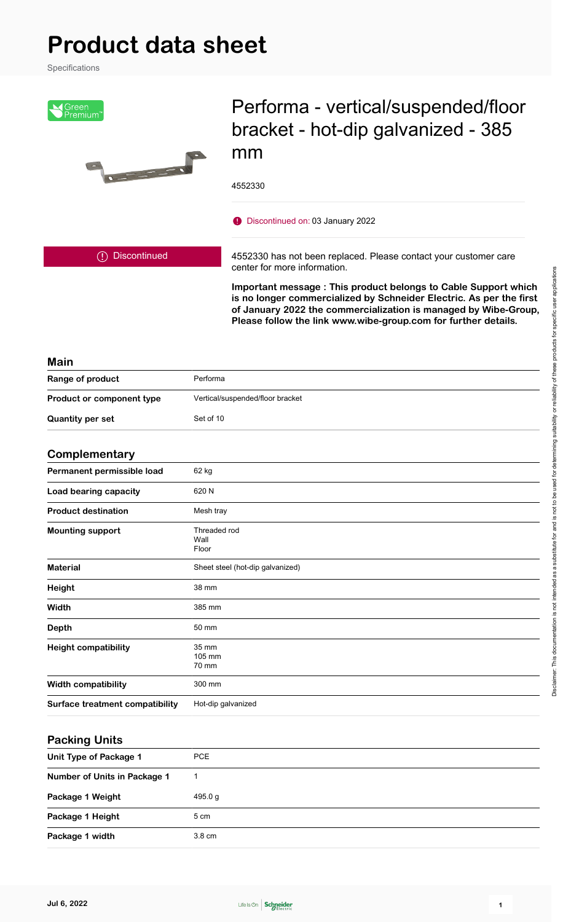# **Product data sheet**

Specifications



## Performa - vertical/suspended/floor bracket - hot-dip galvanized - 385 mm

4552330

Discontinued on: 03 January 2022

Discontinued

4552330 has not been replaced. Please contact your customer care center for more information.

**Important message : This product belongs to Cable Support which is no longer commercialized by Schneider Electric. As per the first of January 2022 the commercialization is managed by Wibe-Group, Please follow the link www.wibe-group.com for further details.**

#### **Main**

| Range of product          | Performa                         |
|---------------------------|----------------------------------|
| Product or component type | Vertical/suspended/floor bracket |
| <b>Quantity per set</b>   | Set of 10                        |

#### **Complementary**

| Permanent permissible load             | 62 kg                            |
|----------------------------------------|----------------------------------|
| Load bearing capacity                  | 620 N                            |
| <b>Product destination</b>             | Mesh tray                        |
| <b>Mounting support</b>                | Threaded rod<br>Wall<br>Floor    |
| <b>Material</b>                        | Sheet steel (hot-dip galvanized) |
| Height                                 | 38 mm                            |
| Width                                  | 385 mm                           |
| <b>Depth</b>                           | 50 mm                            |
| <b>Height compatibility</b>            | 35 mm<br>105 mm<br>70 mm         |
| <b>Width compatibility</b>             | 300 mm                           |
| <b>Surface treatment compatibility</b> | Hot-dip galvanized               |

#### **Packing Units**

| Unit Type of Package 1       | <b>PCE</b>       |
|------------------------------|------------------|
| Number of Units in Package 1 |                  |
| Package 1 Weight             | 495.0 g          |
| Package 1 Height             | 5 cm             |
| Package 1 width              | $3.8 \text{ cm}$ |